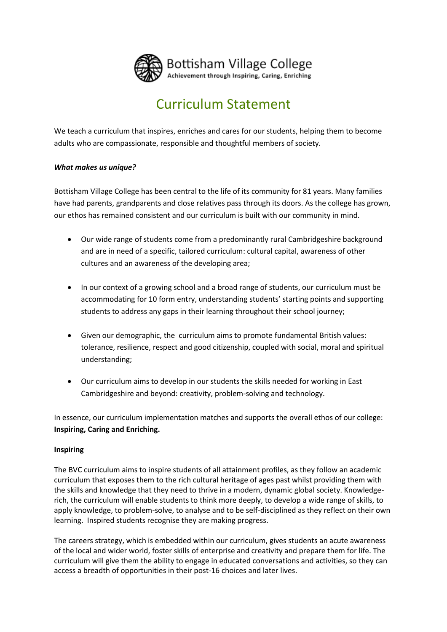

# Curriculum Statement

We teach a curriculum that inspires, enriches and cares for our students, helping them to become adults who are compassionate, responsible and thoughtful members of society.

# *What makes us unique?*

Bottisham Village College has been central to the life of its community for 81 years. Many families have had parents, grandparents and close relatives pass through its doors. As the college has grown, our ethos has remained consistent and our curriculum is built with our community in mind.

- Our wide range of students come from a predominantly rural Cambridgeshire background and are in need of a specific, tailored curriculum: cultural capital, awareness of other cultures and an awareness of the developing area;
- In our context of a growing school and a broad range of students, our curriculum must be accommodating for 10 form entry, understanding students' starting points and supporting students to address any gaps in their learning throughout their school journey;
- Given our demographic, the curriculum aims to promote fundamental British values: tolerance, resilience, respect and good citizenship, coupled with social, moral and spiritual understanding;
- Our curriculum aims to develop in our students the skills needed for working in East Cambridgeshire and beyond: creativity, problem-solving and technology.

In essence, our curriculum implementation matches and supports the overall ethos of our college: **Inspiring, Caring and Enriching.**

### **Inspiring**

The BVC curriculum aims to inspire students of all attainment profiles, as they follow an academic curriculum that exposes them to the rich cultural heritage of ages past whilst providing them with the skills and knowledge that they need to thrive in a modern, dynamic global society. Knowledgerich, the curriculum will enable students to think more deeply, to develop a wide range of skills, to apply knowledge, to problem-solve, to analyse and to be self-disciplined as they reflect on their own learning. Inspired students recognise they are making progress.

The careers strategy, which is embedded within our curriculum, gives students an acute awareness of the local and wider world, foster skills of enterprise and creativity and prepare them for life. The curriculum will give them the ability to engage in educated conversations and activities, so they can access a breadth of opportunities in their post-16 choices and later lives.